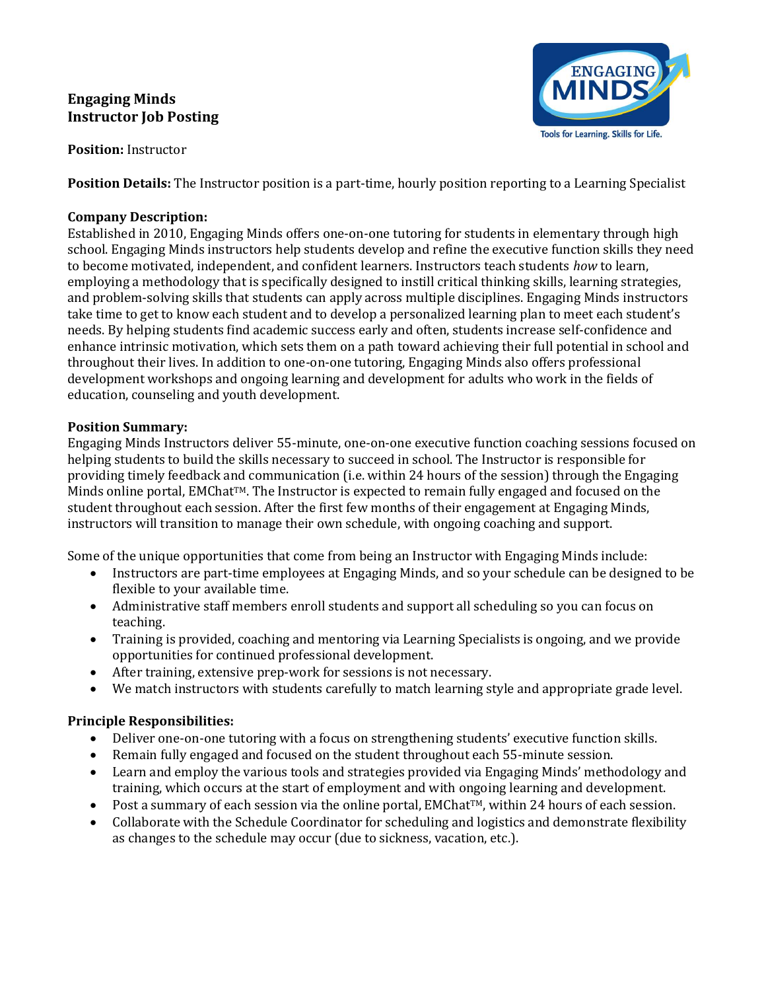# Engaging Minds Instructor Job Posting



Position: Instructor

Position Details: The Instructor position is a part-time, hourly position reporting to a Learning Specialist

### Company Description:

Established in 2010, Engaging Minds offers one-on-one tutoring for students in elementary through high school. Engaging Minds instructors help students develop and refine the executive function skills they need to become motivated, independent, and confident learners. Instructors teach students how to learn, employing a methodology that is specifically designed to instill critical thinking skills, learning strategies, and problem-solving skills that students can apply across multiple disciplines. Engaging Minds instructors take time to get to know each student and to develop a personalized learning plan to meet each student's needs. By helping students find academic success early and often, students increase self-confidence and enhance intrinsic motivation, which sets them on a path toward achieving their full potential in school and throughout their lives. In addition to one-on-one tutoring, Engaging Minds also offers professional development workshops and ongoing learning and development for adults who work in the fields of education, counseling and youth development.

## Position Summary:

Engaging Minds Instructors deliver 55-minute, one-on-one executive function coaching sessions focused on helping students to build the skills necessary to succeed in school. The Instructor is responsible for providing timely feedback and communication (i.e. within 24 hours of the session) through the Engaging Minds online portal, EMChat<sup>™</sup>. The Instructor is expected to remain fully engaged and focused on the student throughout each session. After the first few months of their engagement at Engaging Minds, instructors will transition to manage their own schedule, with ongoing coaching and support.

Some of the unique opportunities that come from being an Instructor with Engaging Minds include:

- Instructors are part-time employees at Engaging Minds, and so your schedule can be designed to be flexible to your available time.
- Administrative staff members enroll students and support all scheduling so you can focus on teaching.
- Training is provided, coaching and mentoring via Learning Specialists is ongoing, and we provide opportunities for continued professional development.
- After training, extensive prep-work for sessions is not necessary.
- We match instructors with students carefully to match learning style and appropriate grade level.

## Principle Responsibilities:

- Deliver one-on-one tutoring with a focus on strengthening students' executive function skills.
- Remain fully engaged and focused on the student throughout each 55-minute session.
- Learn and employ the various tools and strategies provided via Engaging Minds' methodology and training, which occurs at the start of employment and with ongoing learning and development.
- Post a summary of each session via the online portal, EMChat<sup>TM</sup>, within 24 hours of each session.
- Collaborate with the Schedule Coordinator for scheduling and logistics and demonstrate flexibility as changes to the schedule may occur (due to sickness, vacation, etc.).